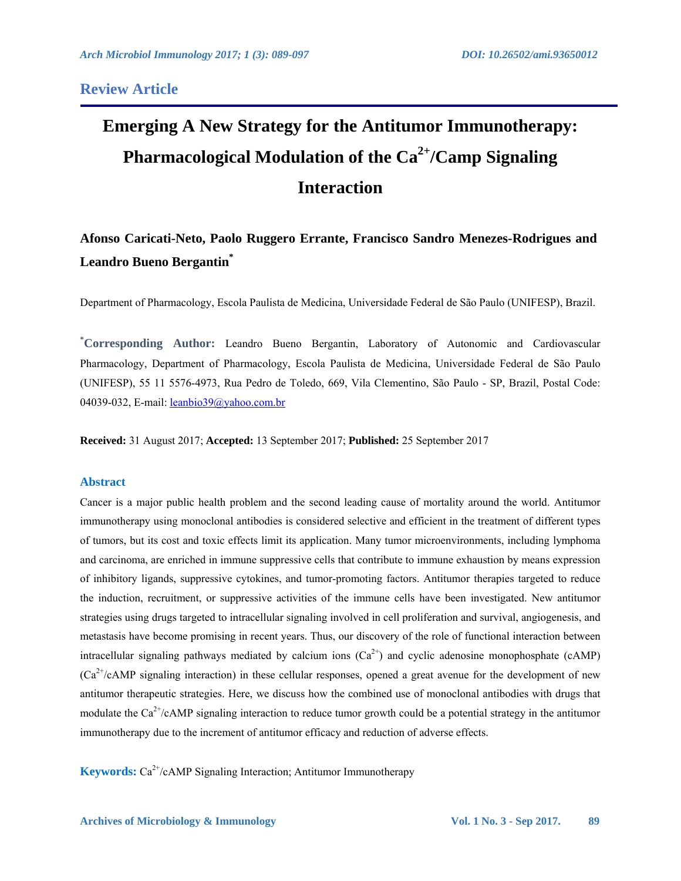### **Review Article**

# **Emerging A New Strategy for the Antitumor Immunotherapy: Pharmacological Modulation of the Ca2+ /Camp Signaling Interaction**

## **Afonso Caricati-Neto, Paolo Ruggero Errante, Francisco Sandro Menezes-Rodrigues and Leandro Bueno Bergantin\***

Department of Pharmacology, Escola Paulista de Medicina, Universidade Federal de São Paulo (UNIFESP), Brazil.

**\* Corresponding Author:** Leandro Bueno Bergantin, Laboratory of Autonomic and Cardiovascular Pharmacology, Department of Pharmacology, Escola Paulista de Medicina, Universidade Federal de São Paulo (UNIFESP), 55 11 5576-4973, Rua Pedro de Toledo, 669, Vila Clementino, São Paulo - SP, Brazil, Postal Code: 04039-032, E-mail: leanbio39@yahoo.com.br

**Received:** 31 August 2017; **Accepted:** 13 September 2017; **Published:** 25 September 2017

#### **Abstract**

Cancer is a major public health problem and the second leading cause of mortality around the world. Antitumor immunotherapy using monoclonal antibodies is considered selective and efficient in the treatment of different types of tumors, but its cost and toxic effects limit its application. Many tumor microenvironments, including lymphoma and carcinoma, are enriched in immune suppressive cells that contribute to immune exhaustion by means expression of inhibitory ligands, suppressive cytokines, and tumor-promoting factors. Antitumor therapies targeted to reduce the induction, recruitment, or suppressive activities of the immune cells have been investigated. New antitumor strategies using drugs targeted to intracellular signaling involved in cell proliferation and survival, angiogenesis, and metastasis have become promising in recent years. Thus, our discovery of the role of functional interaction between intracellular signaling pathways mediated by calcium ions  $(Ca^{2+})$  and cyclic adenosine monophosphate (cAMP)  $(Ca^{2+}/cAMP)$  signaling interaction) in these cellular responses, opened a great avenue for the development of new antitumor therapeutic strategies. Here, we discuss how the combined use of monoclonal antibodies with drugs that modulate the  $Ca^{2+}/cAMP$  signaling interaction to reduce tumor growth could be a potential strategy in the antitumor immunotherapy due to the increment of antitumor efficacy and reduction of adverse effects.

**Keywords:** Ca<sup>2+</sup>/cAMP Signaling Interaction; Antitumor Immunotherapy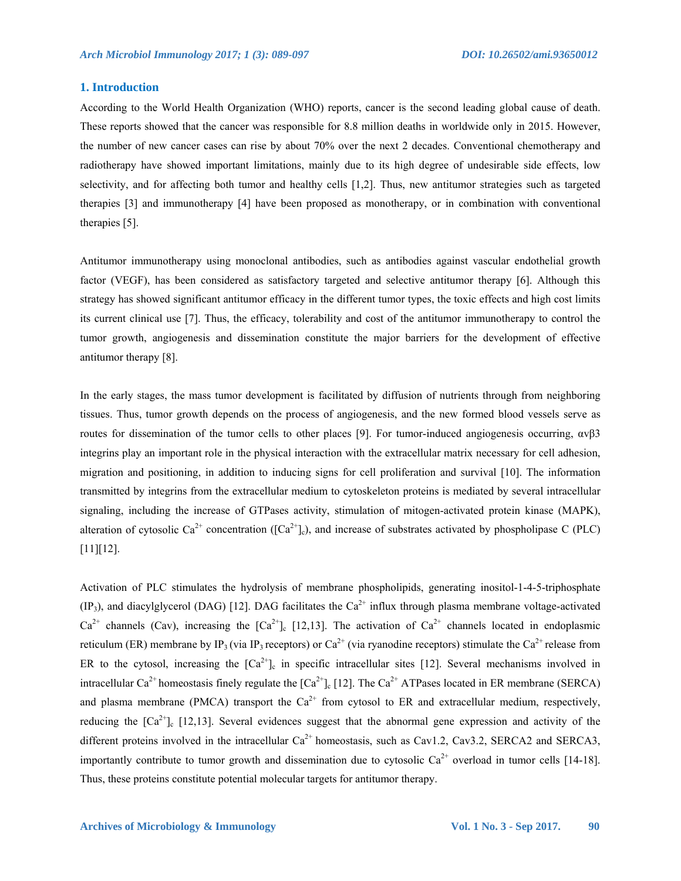#### **1. Introduction**

According to the World Health Organization (WHO) reports, cancer is the second leading global cause of death. These reports showed that the cancer was responsible for 8.8 million deaths in worldwide only in 2015. However, the number of new cancer cases can rise by about 70% over the next 2 decades. Conventional chemotherapy and radiotherapy have showed important limitations, mainly due to its high degree of undesirable side effects, low selectivity, and for affecting both tumor and healthy cells [1,2]. Thus, new antitumor strategies such as targeted therapies [3] and immunotherapy [4] have been proposed as monotherapy, or in combination with conventional therapies [5].

Antitumor immunotherapy using monoclonal antibodies, such as antibodies against vascular endothelial growth factor (VEGF), has been considered as satisfactory targeted and selective antitumor therapy [6]. Although this strategy has showed significant antitumor efficacy in the different tumor types, the toxic effects and high cost limits its current clinical use [7]. Thus, the efficacy, tolerability and cost of the antitumor immunotherapy to control the tumor growth, angiogenesis and dissemination constitute the major barriers for the development of effective antitumor therapy [8].

In the early stages, the mass tumor development is facilitated by diffusion of nutrients through from neighboring tissues. Thus, tumor growth depends on the process of angiogenesis, and the new formed blood vessels serve as routes for dissemination of the tumor cells to other places [9]. For tumor-induced angiogenesis occurring,  $ανβ3$ integrins play an important role in the physical interaction with the extracellular matrix necessary for cell adhesion, migration and positioning, in addition to inducing signs for cell proliferation and survival [10]. The information transmitted by integrins from the extracellular medium to cytoskeleton proteins is mediated by several intracellular signaling, including the increase of GTPases activity, stimulation of mitogen-activated protein kinase (MAPK), alteration of cytosolic Ca<sup>2+</sup> concentration ( $[Ca^{2+}]_c$ ), and increase of substrates activated by phospholipase C (PLC) [11][12].

Activation of PLC stimulates the hydrolysis of membrane phospholipids, generating inositol-1-4-5-triphosphate  $(IP_3)$ , and diacylglycerol (DAG) [12]. DAG facilitates the  $Ca^{2+}$  influx through plasma membrane voltage-activated  $Ca^{2+}$  channels (Cav), increasing the  $[Ca^{2+}$ ]<sub>c</sub> [12,13]. The activation of  $Ca^{2+}$  channels located in endoplasmic reticulum (ER) membrane by IP<sub>3</sub> (via IP<sub>3</sub> receptors) or Ca<sup>2+</sup> (via ryanodine receptors) stimulate the Ca<sup>2+</sup> release from ER to the cytosol, increasing the  $\lceil Ca^{2+} \rceil_c$  in specific intracellular sites [12]. Several mechanisms involved in intracellular Ca<sup>2+</sup> homeostasis finely regulate the  $\lceil Ca^{2+} \rceil_c \lceil 12 \rceil$ . The Ca<sup>2+</sup> ATPases located in ER membrane (SERCA) and plasma membrane (PMCA) transport the  $Ca^{2+}$  from cytosol to ER and extracellular medium, respectively, reducing the  $[Ca^{2+}]_c$  [12,13]. Several evidences suggest that the abnormal gene expression and activity of the different proteins involved in the intracellular  $Ca^{2+}$  homeostasis, such as Cav1.2, Cav3.2, SERCA2 and SERCA3, importantly contribute to tumor growth and dissemination due to cytosolic  $Ca^{2+}$  overload in tumor cells [14-18]. Thus, these proteins constitute potential molecular targets for antitumor therapy.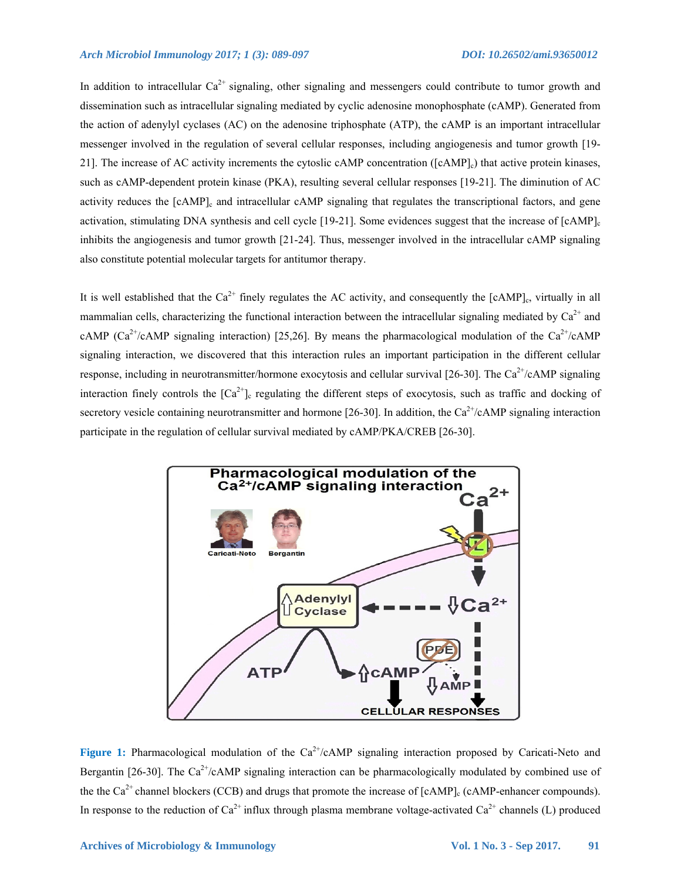In addition to intracellular  $Ca^{2+}$  signaling, other signaling and messengers could contribute to tumor growth and dissemination such as intracellular signaling mediated by cyclic adenosine monophosphate (cAMP). Generated from the action of adenylyl cyclases (AC) on the adenosine triphosphate (ATP), the cAMP is an important intracellular messenger involved in the regulation of several cellular responses, including angiogenesis and tumor growth [19- 21]. The increase of AC activity increments the cytoslic cAMP concentration ([cAMP]c) that active protein kinases, such as cAMP-dependent protein kinase (PKA), resulting several cellular responses [19-21]. The diminution of AC activity reduces the [cAMP]<sub>c</sub> and intracellular cAMP signaling that regulates the transcriptional factors, and gene activation, stimulating DNA synthesis and cell cycle [19-21]. Some evidences suggest that the increase of [cAMP]<sub>c</sub> inhibits the angiogenesis and tumor growth [21-24]. Thus, messenger involved in the intracellular cAMP signaling also constitute potential molecular targets for antitumor therapy.

It is well established that the  $Ca^{2+}$  finely regulates the AC activity, and consequently the [cAMP]<sub>c</sub>, virtually in all mammalian cells, characterizing the functional interaction between the intracellular signaling mediated by  $Ca^{2+}$  and cAMP (Ca<sup>2+</sup>/cAMP signaling interaction) [25,26]. By means the pharmacological modulation of the Ca<sup>2+</sup>/cAMP signaling interaction, we discovered that this interaction rules an important participation in the different cellular response, including in neurotransmitter/hormone exocytosis and cellular survival [26-30]. The Ca<sup>2+</sup>/cAMP signaling interaction finely controls the  $[Ca^{2+}]_c$  regulating the different steps of exocytosis, such as traffic and docking of secretory vesicle containing neurotransmitter and hormone [26-30]. In addition, the  $Ca^{2+}/cAMP$  signaling interaction participate in the regulation of cellular survival mediated by cAMP/PKA/CREB [26-30].



Figure 1: Pharmacological modulation of the Ca<sup>2+</sup>/cAMP signaling interaction proposed by Caricati-Neto and Bergantin [26-30]. The Ca<sup>2+</sup>/cAMP signaling interaction can be pharmacologically modulated by combined use of the the  $Ca^{2+}$  channel blockers (CCB) and drugs that promote the increase of  $[cAMP]_c$  (cAMP-enhancer compounds). In response to the reduction of  $Ca^{2+}$  influx through plasma membrane voltage-activated  $Ca^{2+}$  channels (L) produced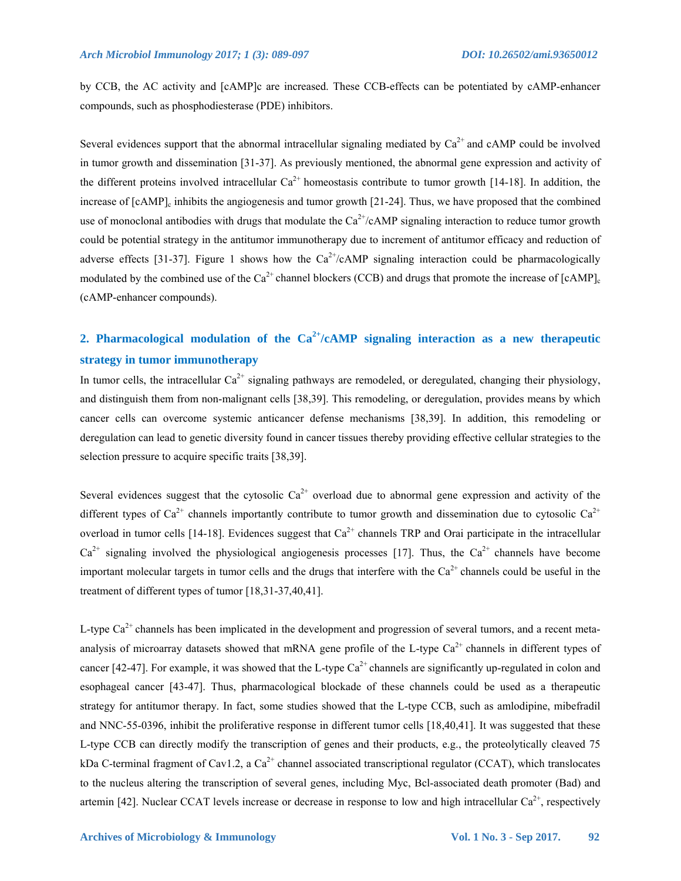by CCB, the AC activity and [cAMP]c are increased. These CCB-effects can be potentiated by cAMP-enhancer compounds, such as phosphodiesterase (PDE) inhibitors.

Several evidences support that the abnormal intracellular signaling mediated by  $Ca^{2+}$  and cAMP could be involved in tumor growth and dissemination [31-37]. As previously mentioned, the abnormal gene expression and activity of the different proteins involved intracellular  $Ca^{2+}$  homeostasis contribute to tumor growth [14-18]. In addition, the increase of  $[cAMP]_c$  inhibits the angiogenesis and tumor growth [21-24]. Thus, we have proposed that the combined use of monoclonal antibodies with drugs that modulate the  $Ca^{2+}/cAMP$  signaling interaction to reduce tumor growth could be potential strategy in the antitumor immunotherapy due to increment of antitumor efficacy and reduction of adverse effects [31-37]. Figure 1 shows how the  $Ca^{2+}/cAMP$  signaling interaction could be pharmacologically modulated by the combined use of the  $Ca^{2+}$  channel blockers (CCB) and drugs that promote the increase of  $[CAMP]$ . (cAMP-enhancer compounds).

## **2. Pharmacological modulation of the Ca2+/cAMP signaling interaction as a new therapeutic strategy in tumor immunotherapy**

In tumor cells, the intracellular  $Ca^{2+}$  signaling pathways are remodeled, or deregulated, changing their physiology, and distinguish them from non-malignant cells [38,39]. This remodeling, or deregulation, provides means by which cancer cells can overcome systemic anticancer defense mechanisms [38,39]. In addition, this remodeling or deregulation can lead to genetic diversity found in cancer tissues thereby providing effective cellular strategies to the selection pressure to acquire specific traits [38,39].

Several evidences suggest that the cytosolic  $Ca^{2+}$  overload due to abnormal gene expression and activity of the different types of  $Ca^{2+}$  channels importantly contribute to tumor growth and dissemination due to cytosolic  $Ca^{2+}$ overload in tumor cells [14-18]. Evidences suggest that  $Ca^{2+}$  channels TRP and Orai participate in the intracellular  $Ca^{2+}$  signaling involved the physiological angiogenesis processes [17]. Thus, the  $Ca^{2+}$  channels have become important molecular targets in tumor cells and the drugs that interfere with the  $Ca<sup>2+</sup>$  channels could be useful in the treatment of different types of tumor [18,31-37,40,41].

L-type  $Ca^{2+}$  channels has been implicated in the development and progression of several tumors, and a recent metaanalysis of microarray datasets showed that mRNA gene profile of the L-type  $Ca^{2+}$  channels in different types of cancer [42-47]. For example, it was showed that the L-type  $Ca^{2+}$  channels are significantly up-regulated in colon and esophageal cancer [43-47]. Thus, pharmacological blockade of these channels could be used as a therapeutic strategy for antitumor therapy. In fact, some studies showed that the L-type CCB, such as amlodipine, mibefradil and NNC-55-0396, inhibit the proliferative response in different tumor cells [18,40,41]. It was suggested that these L-type CCB can directly modify the transcription of genes and their products, e.g., the proteolytically cleaved 75 kDa C-terminal fragment of Cav1.2, a  $Ca^{2+}$  channel associated transcriptional regulator (CCAT), which translocates to the nucleus altering the transcription of several genes, including Myc, Bcl-associated death promoter (Bad) and artemin [42]. Nuclear CCAT levels increase or decrease in response to low and high intracellular  $Ca^{2+}$ , respectively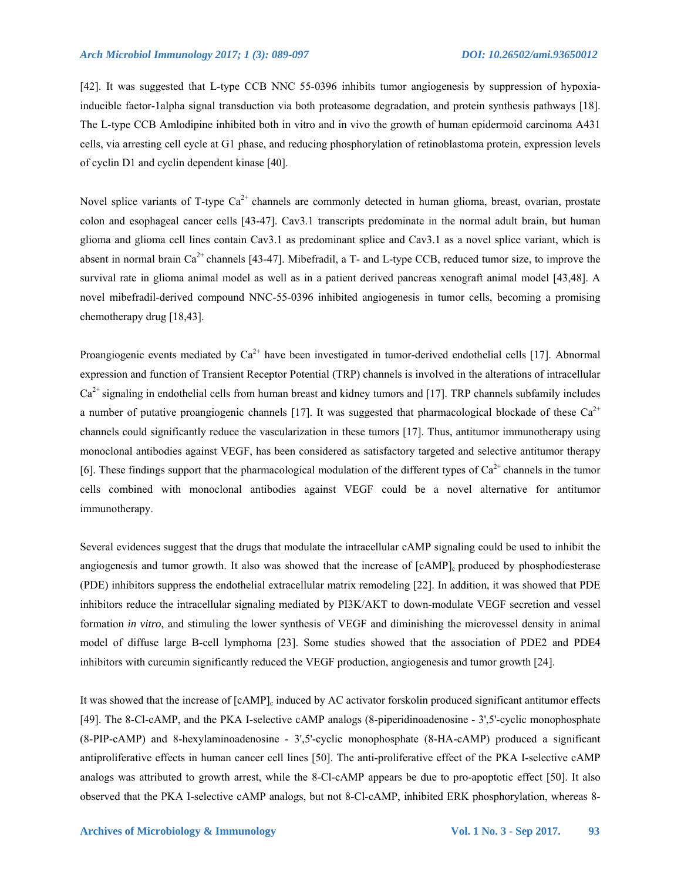[42]. It was suggested that L-type CCB NNC 55-0396 inhibits tumor angiogenesis by suppression of hypoxiainducible factor-1alpha signal transduction via both proteasome degradation, and protein synthesis pathways [18]. The L-type CCB Amlodipine inhibited both in vitro and in vivo the growth of human epidermoid carcinoma A431 cells, via arresting cell cycle at G1 phase, and reducing phosphorylation of retinoblastoma protein, expression levels of cyclin D1 and cyclin dependent kinase [40].

Novel splice variants of T-type  $Ca^{2+}$  channels are commonly detected in human glioma, breast, ovarian, prostate colon and esophageal cancer cells [43-47]. Cav3.1 transcripts predominate in the normal adult brain, but human glioma and glioma cell lines contain Cav3.1 as predominant splice and Cav3.1 as a novel splice variant, which is absent in normal brain  $Ca^{2+}$  channels [43-47]. Mibefradil, a T- and L-type CCB, reduced tumor size, to improve the survival rate in glioma animal model as well as in a patient derived pancreas xenograft animal model [43,48]. A novel mibefradil-derived compound NNC-55-0396 inhibited angiogenesis in tumor cells, becoming a promising chemotherapy drug [18,43].

Proangiogenic events mediated by  $Ca^{2+}$  have been investigated in tumor-derived endothelial cells [17]. Abnormal expression and function of Transient Receptor Potential (TRP) channels is involved in the alterations of intracellular  $Ca<sup>2+</sup>$  signaling in endothelial cells from human breast and kidney tumors and [17]. TRP channels subfamily includes a number of putative proangiogenic channels [17]. It was suggested that pharmacological blockade of these  $Ca^{2+}$ channels could significantly reduce the vascularization in these tumors [17]. Thus, antitumor immunotherapy using monoclonal antibodies against VEGF, has been considered as satisfactory targeted and selective antitumor therapy [6]. These findings support that the pharmacological modulation of the different types of  $Ca^{2+}$  channels in the tumor cells combined with monoclonal antibodies against VEGF could be a novel alternative for antitumor immunotherapy.

Several evidences suggest that the drugs that modulate the intracellular cAMP signaling could be used to inhibit the angiogenesis and tumor growth. It also was showed that the increase of [cAMP]<sub>c</sub> produced by phosphodiesterase (PDE) inhibitors suppress the endothelial extracellular matrix remodeling [22]. In addition, it was showed that PDE inhibitors reduce the intracellular signaling mediated by PI3K/AKT to down-modulate VEGF secretion and vessel formation *in vitro*, and stimuling the lower synthesis of VEGF and diminishing the microvessel density in animal model of diffuse large B-cell lymphoma [23]. Some studies showed that the association of PDE2 and PDE4 inhibitors with curcumin significantly reduced the VEGF production, angiogenesis and tumor growth [24].

It was showed that the increase of  $[cAMP]_c$  induced by AC activator forskolin produced significant antitumor effects [49]. The 8-Cl-cAMP, and the PKA I-selective cAMP analogs (8-piperidinoadenosine - 3',5'-cyclic monophosphate (8-PIP-cAMP) and 8-hexylaminoadenosine - 3',5'-cyclic monophosphate (8-HA-cAMP) produced a significant antiproliferative effects in human cancer cell lines [50]. The anti-proliferative effect of the PKA I-selective cAMP analogs was attributed to growth arrest, while the 8-Cl-cAMP appears be due to pro-apoptotic effect [50]. It also observed that the PKA I-selective cAMP analogs, but not 8-Cl-cAMP, inhibited ERK phosphorylation, whereas 8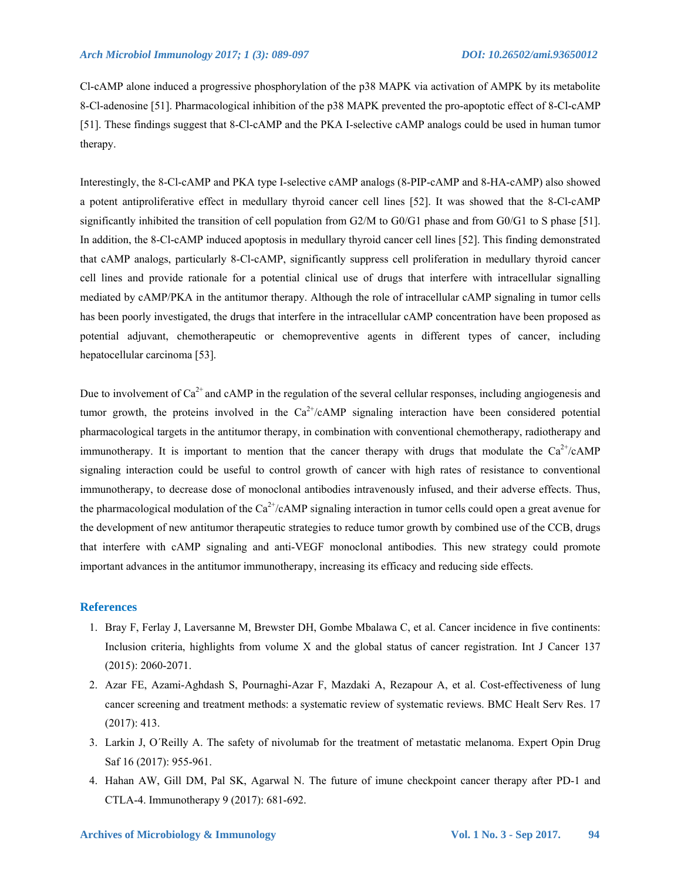Cl-cAMP alone induced a progressive phosphorylation of the p38 MAPK via activation of AMPK by its metabolite 8-Cl-adenosine [51]. Pharmacological inhibition of the p38 MAPK prevented the pro-apoptotic effect of 8-Cl-cAMP [51]. These findings suggest that 8-Cl-cAMP and the PKA I-selective cAMP analogs could be used in human tumor therapy.

Interestingly, the 8-Cl-cAMP and PKA type I-selective cAMP analogs (8-PIP-cAMP and 8-HA-cAMP) also showed a potent antiproliferative effect in medullary thyroid cancer cell lines [52]. It was showed that the 8-Cl-cAMP significantly inhibited the transition of cell population from G2/M to G0/G1 phase and from G0/G1 to S phase [51]. In addition, the 8-Cl-cAMP induced apoptosis in medullary thyroid cancer cell lines [52]. This finding demonstrated that cAMP analogs, particularly 8-Cl-cAMP, significantly suppress cell proliferation in medullary thyroid cancer cell lines and provide rationale for a potential clinical use of drugs that interfere with intracellular signalling mediated by cAMP/PKA in the antitumor therapy. Although the role of intracellular cAMP signaling in tumor cells has been poorly investigated, the drugs that interfere in the intracellular cAMP concentration have been proposed as potential adjuvant, chemotherapeutic or chemopreventive agents in different types of cancer, including hepatocellular carcinoma [53].

Due to involvement of  $Ca^{2+}$  and cAMP in the regulation of the several cellular responses, including angiogenesis and tumor growth, the proteins involved in the  $Ca^{2+}/cAMP$  signaling interaction have been considered potential pharmacological targets in the antitumor therapy, in combination with conventional chemotherapy, radiotherapy and immunotherapy. It is important to mention that the cancer therapy with drugs that modulate the  $Ca^{2+}/cAMP$ signaling interaction could be useful to control growth of cancer with high rates of resistance to conventional immunotherapy, to decrease dose of monoclonal antibodies intravenously infused, and their adverse effects. Thus, the pharmacological modulation of the  $Ca^{2+}/cAMP$  signaling interaction in tumor cells could open a great avenue for the development of new antitumor therapeutic strategies to reduce tumor growth by combined use of the CCB, drugs that interfere with cAMP signaling and anti-VEGF monoclonal antibodies. This new strategy could promote important advances in the antitumor immunotherapy, increasing its efficacy and reducing side effects.

#### **References**

- 1. Bray F, Ferlay J, Laversanne M, Brewster DH, Gombe Mbalawa C, et al. Cancer incidence in five continents: Inclusion criteria, highlights from volume X and the global status of cancer registration. Int J Cancer 137 (2015): 2060-2071.
- 2. Azar FE, Azami-Aghdash S, Pournaghi-Azar F, Mazdaki A, Rezapour A, et al. Cost-effectiveness of lung cancer screening and treatment methods: a systematic review of systematic reviews. BMC Healt Serv Res. 17 (2017): 413.
- 3. Larkin J, O´Reilly A. The safety of nivolumab for the treatment of metastatic melanoma. Expert Opin Drug Saf 16 (2017): 955-961.
- 4. Hahan AW, Gill DM, Pal SK, Agarwal N. The future of imune checkpoint cancer therapy after PD-1 and CTLA-4. Immunotherapy 9 (2017): 681-692.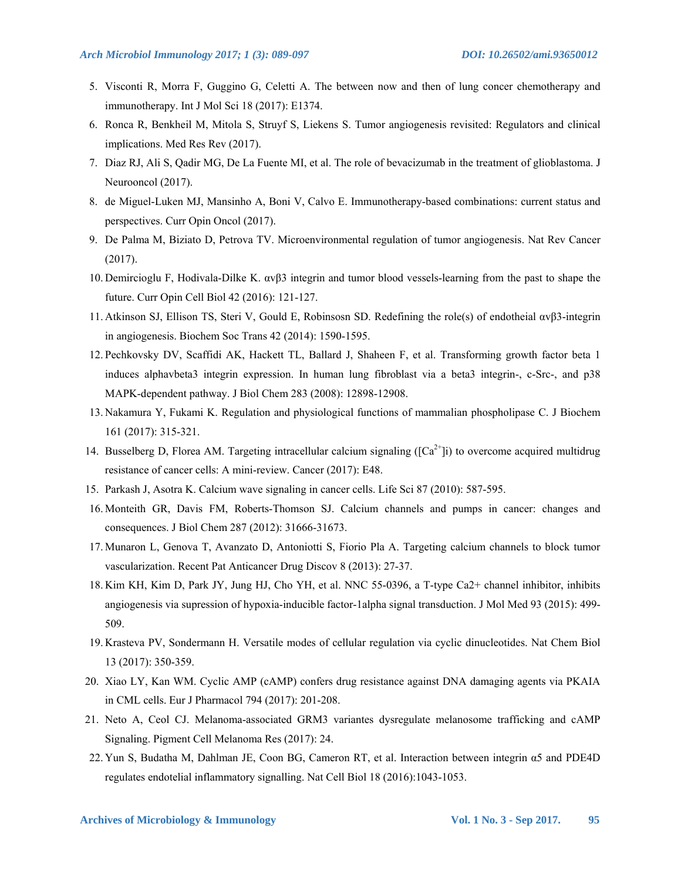- 5. Visconti R, Morra F, Guggino G, Celetti A. The between now and then of lung concer chemotherapy and immunotherapy. Int J Mol Sci 18 (2017): E1374.
- 6. Ronca R, Benkheil M, Mitola S, Struyf S, Liekens S. Tumor angiogenesis revisited: Regulators and clinical implications. Med Res Rev (2017).
- 7. Diaz RJ, Ali S, Qadir MG, De La Fuente MI, et al. The role of bevacizumab in the treatment of glioblastoma. J Neurooncol (2017).
- 8. de Miguel-Luken MJ, Mansinho A, Boni V, Calvo E. Immunotherapy-based combinations: current status and perspectives. Curr Opin Oncol (2017).
- 9. De Palma M, Biziato D, Petrova TV. Microenvironmental regulation of tumor angiogenesis. Nat Rev Cancer (2017).
- 10. Demircioglu F, Hodivala-Dilke K. αvβ3 integrin and tumor blood vessels-learning from the past to shape the future. Curr Opin Cell Biol 42 (2016): 121-127.
- 11. Atkinson SJ, Ellison TS, Steri V, Gould E, Robinsosn SD. Redefining the role(s) of endotheial αvβ3-integrin in angiogenesis. Biochem Soc Trans 42 (2014): 1590-1595.
- 12. Pechkovsky DV, Scaffidi AK, Hackett TL, Ballard J, Shaheen F, et al. Transforming growth factor beta 1 induces alphavbeta3 integrin expression. In human lung fibroblast via a beta3 integrin-, c-Src-, and p38 MAPK-dependent pathway. J Biol Chem 283 (2008): 12898-12908.
- 13. Nakamura Y, Fukami K. Regulation and physiological functions of mammalian phospholipase C. J Biochem 161 (2017): 315-321.
- 14. Busselberg D, Florea AM. Targeting intracellular calcium signaling  $([Ca<sup>2+</sup>]i)$  to overcome acquired multidrug resistance of cancer cells: A mini-review. Cancer (2017): E48.
- 15. Parkash J, Asotra K. Calcium wave signaling in cancer cells. Life Sci 87 (2010): 587-595.
- 16. Monteith GR, Davis FM, Roberts-Thomson SJ. Calcium channels and pumps in cancer: changes and consequences. J Biol Chem 287 (2012): 31666-31673.
- 17. Munaron L, Genova T, Avanzato D, Antoniotti S, Fiorio Pla A. Targeting calcium channels to block tumor vascularization. Recent Pat Anticancer Drug Discov 8 (2013): 27-37.
- 18. Kim KH, Kim D, Park JY, Jung HJ, Cho YH, et al. NNC 55-0396, a T-type Ca2+ channel inhibitor, inhibits angiogenesis via supression of hypoxia-inducible factor-1alpha signal transduction. J Mol Med 93 (2015): 499- 509.
- 19. Krasteva PV, Sondermann H. Versatile modes of cellular regulation via cyclic dinucleotides. Nat Chem Biol 13 (2017): 350-359.
- 20. Xiao LY, Kan WM. Cyclic AMP (cAMP) confers drug resistance against DNA damaging agents via PKAIA in CML cells. Eur J Pharmacol 794 (2017): 201-208.
- 21. Neto A, Ceol CJ. Melanoma-associated GRM3 variantes dysregulate melanosome trafficking and cAMP Signaling. Pigment Cell Melanoma Res (2017): 24.
- 22. Yun S, Budatha M, Dahlman JE, Coon BG, Cameron RT, et al. Interaction between integrin α5 and PDE4D regulates endotelial inflammatory signalling. Nat Cell Biol 18 (2016):1043-1053.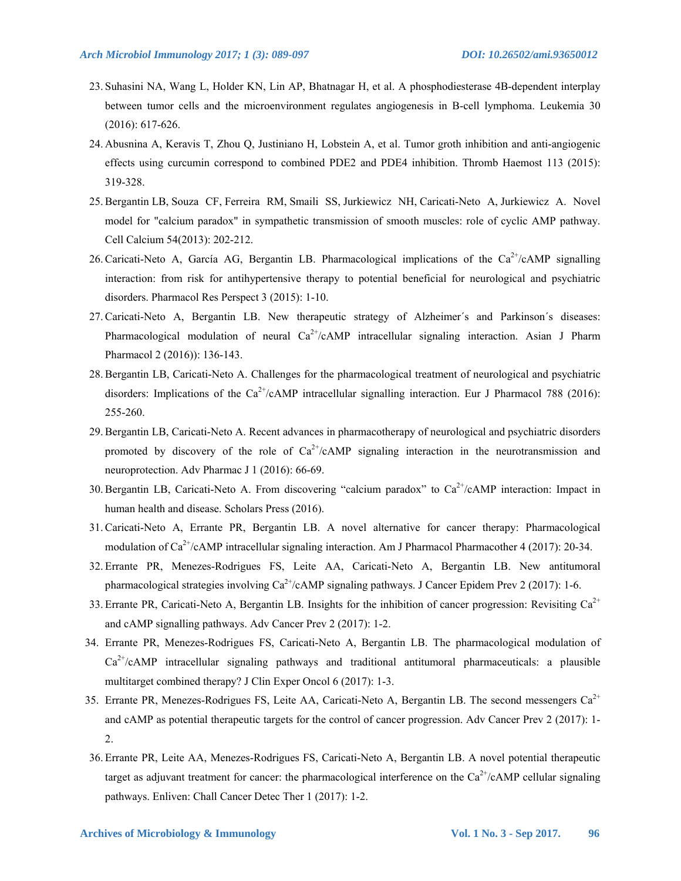- 23. Suhasini NA, Wang L, Holder KN, Lin AP, Bhatnagar H, et al. A phosphodiesterase 4B-dependent interplay between tumor cells and the microenvironment regulates angiogenesis in B-cell lymphoma. Leukemia 30 (2016): 617-626.
- 24. Abusnina A, Keravis T, Zhou Q, Justiniano H, Lobstein A, et al. Tumor groth inhibition and anti-angiogenic effects using curcumin correspond to combined PDE2 and PDE4 inhibition. Thromb Haemost 113 (2015): 319-328.
- 25. Bergantin LB, Souza CF, Ferreira RM, Smaili SS, Jurkiewicz NH, Caricati-Neto A, Jurkiewicz A. Novel model for "calcium paradox" in sympathetic transmission of smooth muscles: role of cyclic AMP pathway. Cell Calcium 54(2013): 202-212.
- 26. Caricati-Neto A, García AG, Bergantin LB. Pharmacological implications of the  $Ca^{2+}/cAMP$  signalling interaction: from risk for antihypertensive therapy to potential beneficial for neurological and psychiatric disorders. Pharmacol Res Perspect 3 (2015): 1-10.
- 27. Caricati-Neto A, Bergantin LB. New therapeutic strategy of Alzheimer´s and Parkinson´s diseases: Pharmacological modulation of neural  $Ca^{2+}/cAMP$  intracellular signaling interaction. Asian J Pharm Pharmacol 2 (2016)): 136-143.
- 28. Bergantin LB, Caricati-Neto A. Challenges for the pharmacological treatment of neurological and psychiatric disorders: Implications of the  $Ca^{2+}/cAMP$  intracellular signalling interaction. Eur J Pharmacol 788 (2016): 255-260.
- 29. Bergantin LB, Caricati-Neto A. Recent advances in pharmacotherapy of neurological and psychiatric disorders promoted by discovery of the role of  $Ca^{2+}/cAMP$  signaling interaction in the neurotransmission and neuroprotection. Adv Pharmac J 1 (2016): 66-69.
- 30. Bergantin LB, Caricati-Neto A. From discovering "calcium paradox" to Ca<sup>2+</sup>/cAMP interaction: Impact in human health and disease. Scholars Press (2016).
- 31. Caricati-Neto A, Errante PR, Bergantin LB. A novel alternative for cancer therapy: Pharmacological modulation of  $Ca^{2+}/c$ AMP intracellular signaling interaction. Am J Pharmacol Pharmacother 4 (2017): 20-34.
- 32. Errante PR, Menezes-Rodrigues FS, Leite AA, Caricati-Neto A, Bergantin LB. New antitumoral pharmacological strategies involving  $Ca^{2+}/cAMP$  signaling pathways. J Cancer Epidem Prev 2 (2017): 1-6.
- 33. Errante PR, Caricati-Neto A, Bergantin LB. Insights for the inhibition of cancer progression: Revisiting  $Ca^{2+}$ and cAMP signalling pathways. Adv Cancer Prev 2 (2017): 1-2.
- 34. Errante PR, Menezes-Rodrigues FS, Caricati-Neto A, Bergantin LB. The pharmacological modulation of  $Ca<sup>2+</sup>/cAMP$  intracellular signaling pathways and traditional antitumoral pharmaceuticals: a plausible multitarget combined therapy? J Clin Exper Oncol 6 (2017): 1-3.
- 35. Errante PR, Menezes-Rodrigues FS, Leite AA, Caricati-Neto A, Bergantin LB. The second messengers  $Ca^{2+}$ and cAMP as potential therapeutic targets for the control of cancer progression. Adv Cancer Prev 2 (2017): 1- 2.
- 36. Errante PR, Leite AA, Menezes-Rodrigues FS, Caricati-Neto A, Bergantin LB. A novel potential therapeutic target as adjuvant treatment for cancer: the pharmacological interference on the  $Ca^{2+}/cAMP$  cellular signaling pathways. Enliven: Chall Cancer Detec Ther 1 (2017): 1-2.